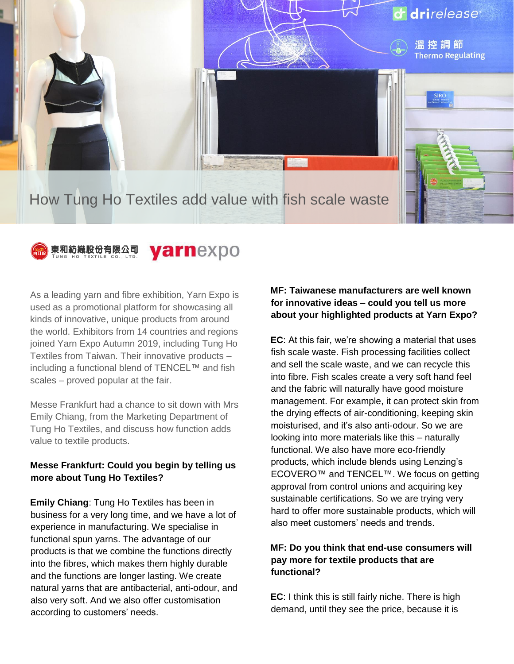



#### yarnexpo 東和紡織股份有限公司

As a leading yarn and fibre exhibition, Yarn Expo is used as a promotional platform for showcasing all kinds of innovative, unique products from around the world. Exhibitors from 14 countries and regions joined Yarn Expo Autumn 2019, including Tung Ho Textiles from Taiwan. Their innovative products – including a functional blend of TENCEL™ and fish scales – proved popular at the fair.

Messe Frankfurt had a chance to sit down with Mrs Emily Chiang, from the Marketing Department of Tung Ho Textiles, and discuss how function adds value to textile products.

### **Messe Frankfurt: Could you begin by telling us more about Tung Ho Textiles?**

**Emily Chiang**: Tung Ho Textiles has been in business for a very long time, and we have a lot of experience in manufacturing. We specialise in functional spun yarns. The advantage of our products is that we combine the functions directly into the fibres, which makes them highly durable and the functions are longer lasting. We create natural yarns that are antibacterial, anti-odour, and also very soft. And we also offer customisation according to customers' needs.

## **MF: Taiwanese manufacturers are well known for innovative ideas – could you tell us more about your highlighted products at Yarn Expo?**

**EC**: At this fair, we're showing a material that uses fish scale waste. Fish processing facilities collect and sell the scale waste, and we can recycle this into fibre. Fish scales create a very soft hand feel and the fabric will naturally have good moisture management. For example, it can protect skin from the drying effects of air-conditioning, keeping skin moisturised, and it's also anti-odour. So we are looking into more materials like this – naturally functional. We also have more eco-friendly products, which include blends using Lenzing's ECOVERO™ and TENCEL™. We focus on getting approval from control unions and acquiring key sustainable certifications. So we are trying very hard to offer more sustainable products, which will also meet customers' needs and trends.

## **MF: Do you think that end-use consumers will pay more for textile products that are functional?**

**EC**: I think this is still fairly niche. There is high demand, until they see the price, because it is